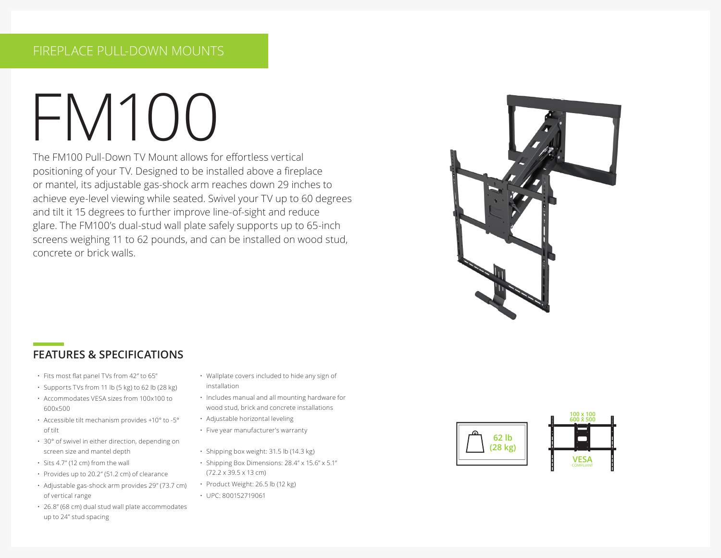# FM100

The FM100 Pull-Down TV Mount allows for effortless vertical positioning of your TV. Designed to be installed above a fireplace or mantel, its adjustable gas-shock arm reaches down 29 inches to achieve eye-level viewing while seated. Swivel your TV up to 60 degrees and tilt it 15 degrees to further improve line-of-sight and reduce glare. The FM100's dual-stud wall plate safely supports up to 65-inch screens weighing 11 to 62 pounds, and can be installed on wood stud, concrete or brick walls.



# **FEATURES & SPECIFICATIONS**

- Fits most flat panel TVs from 42" to 65"
- Supports TVs from 11 lb (5 kg) to 62 lb (28 kg)
- Accommodates VESA sizes from 100x100 to 600x500
- Accessible tilt mechanism provides +10° to -5° of tilt
- 30° of swivel in either direction, depending on screen size and mantel depth
- Sits 4.7" (12 cm) from the wall
- Provides up to 20.2" (51.2 cm) of clearance
- Adjustable gas-shock arm provides 29" (73.7 cm) of vertical range
- 26.8" (68 cm) dual stud wall plate accommodates up to 24" stud spacing
- Wallplate covers included to hide any sign of installation
- Includes manual and all mounting hardware for wood stud, brick and concrete installations
- Adjustable horizontal leveling
- Five year manufacturer's warranty
- Shipping box weight: 31.5 lb (14.3 kg)
- Shipping Box Dimensions: 28.4" x 15.6" x 5.1" (72.2 x 39.5 x 13 cm)
- Product Weight: 26.5 lb (12 kg)
- UPC: 800152719061